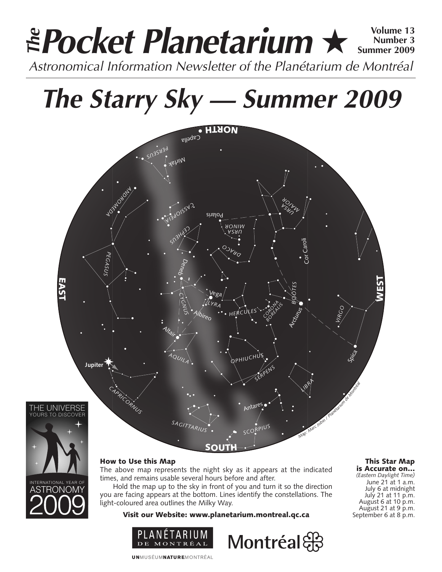### **Pocket Planetarium** ★ **Volume 13** Astronomical Information Newsletter of the Planétarium de Montréal **The Number 3 Summer 2009**

# **The Starry Sky — Summer 2009**





ASTRONOMY

### How to Use this Map

The above map represents the night sky as it appears at the indicated times, and remains usable several hours before and after.

Hold the map up to the sky in front of you and turn it so the direction you are facing appears at the bottom. Lines identify the constellations. The light-coloured area outlines the Milky Way.

Visit our Website: www.planetarium.montreal.qc.ca



Montréal

#### This Star Map is Accurate on…

*(Eastern Daylight Time)* June 21 at 1 a.m. July 6 at midnight July 21 at 11 p.m. August 6 at 10 p.m. August 21 at 9 p.m. September 6 at 8 p.m.

**UNMUSÉUMNATUREMONTRÉAL**